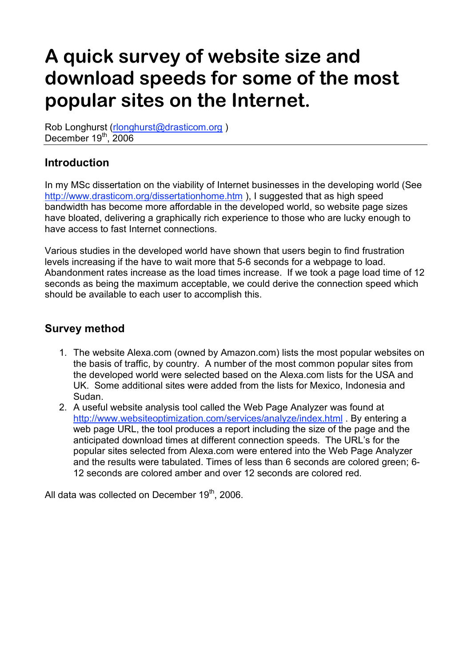# **A quick survey of website size and download speeds for some of the most popular sites on the Internet.**

Rob Longhurst (rlonghurst@drasticom.org) December 19<sup>th</sup>, 2006

## **Introduction**

In my MSc dissertation on the viability of Internet businesses in the developing world (See http://www.drasticom.org/dissertationhome.htm ), I suggested that as high speed bandwidth has become more affordable in the developed world, so website page sizes have bloated, delivering a graphically rich experience to those who are lucky enough to have access to fast Internet connections.

Various studies in the developed world have shown that users begin to find frustration levels increasing if the have to wait more that 5-6 seconds for a webpage to load. Abandonment rates increase as the load times increase. If we took a page load time of 12 seconds as being the maximum acceptable, we could derive the connection speed which should be available to each user to accomplish this.

#### **Survey method**

- 1. The website Alexa.com (owned by Amazon.com) lists the most popular websites on the basis of traffic, by country. A number of the most common popular sites from the developed world were selected based on the Alexa.com lists for the USA and UK. Some additional sites were added from the lists for Mexico, Indonesia and Sudan.
- 2. A useful website analysis tool called the Web Page Analyzer was found at http://www.websiteoptimization.com/services/analyze/index.html . By entering a web page URL, the tool produces a report including the size of the page and the anticipated download times at different connection speeds. The URL's for the popular sites selected from Alexa.com were entered into the Web Page Analyzer and the results were tabulated. Times of less than 6 seconds are colored green; 6- 12 seconds are colored amber and over 12 seconds are colored red.

All data was collected on December 19<sup>th</sup>, 2006.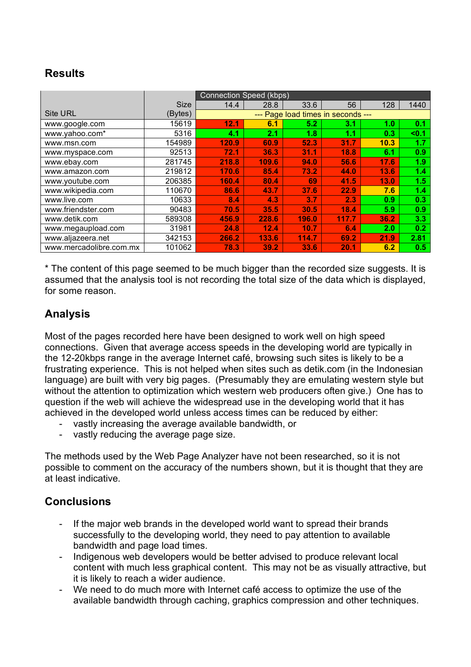## **Results**

|                         |         | <b>Connection Speed (kbps)</b>     |       |       |       |      |       |
|-------------------------|---------|------------------------------------|-------|-------|-------|------|-------|
| <b>Size</b>             |         | 14.4                               | 28.8  | 33.6  | 56    | 128  | 1440  |
| <b>Site URL</b>         | (Bytes) | --- Page load times in seconds --- |       |       |       |      |       |
| www.google.com          | 15619   | 12.1                               | 6.1   | 5.2   | 3.1   | 1.0  | 0.1   |
| www.yahoo.com*          | 5316    | 4.1                                | 2.1   | 1.8   | 1.1   | 0.3  | $0.1$ |
| www.msn.com             | 154989  | 120.9                              | 60.9  | 52.3  | 31.7  | 10.3 | 1.7   |
| www.myspace.com         | 92513   | 72.1                               | 36.3  | 31.1  | 18.8  | 6.1  | 0.9   |
| www.ebay.com            | 281745  | 218.8                              | 109.6 | 94.0  | 56.6  | 17.6 | 1.9   |
| www.amazon.com          | 219812  | 170.6                              | 85.4  | 73.2  | 44.0  | 13.6 | 1.4   |
| www.youtube.com         | 206385  | 160.4                              | 80.4  | 69    | 41.5  | 13.0 | 1.5   |
| www.wikipedia.com       | 110670  | 86.6                               | 43.7  | 37.6  | 22.9  | 7.6  | 1.4   |
| www.live.com            | 10633   | 8.4                                | 4.3   | 3.7   | 2.3   | 0.9  | 0.3   |
| www.friendster.com      | 90483   | 70.5                               | 35.5  | 30.5  | 18.4  | 5.9  | 0.9   |
| www.detik.com           | 589308  | 456.9                              | 228.6 | 196.0 | 117.7 | 36.2 | 3.3   |
| www.megaupload.com      | 31981   | 24.8                               | 12.4  | 10.7  | 6.4   | 2.0  | 0.2   |
| www.aljazeera.net       | 342153  | 266.2                              | 133.6 | 114.7 | 69.2  | 21.9 | 2.81  |
| www.mercadolibre.com.mx | 101062  | 78.3                               | 39.2  | 33.6  | 20.1  | 6.2  | 0.5   |

\* The content of this page seemed to be much bigger than the recorded size suggests. It is assumed that the analysis tool is not recording the total size of the data which is displayed, for some reason.

### **Analysis**

Most of the pages recorded here have been designed to work well on high speed connections. Given that average access speeds in the developing world are typically in the 12-20kbps range in the average Internet café, browsing such sites is likely to be a frustrating experience. This is not helped when sites such as detik.com (in the Indonesian language) are built with very big pages. (Presumably they are emulating western style but without the attention to optimization which western web producers often give.) One has to question if the web will achieve the widespread use in the developing world that it has achieved in the developed world unless access times can be reduced by either:

- vastly increasing the average available bandwidth, or
- vastly reducing the average page size.

The methods used by the Web Page Analyzer have not been researched, so it is not possible to comment on the accuracy of the numbers shown, but it is thought that they are at least indicative.

#### **Conclusions**

- If the major web brands in the developed world want to spread their brands successfully to the developing world, they need to pay attention to available bandwidth and page load times.
- Indigenous web developers would be better advised to produce relevant local content with much less graphical content. This may not be as visually attractive, but it is likely to reach a wider audience.
- We need to do much more with Internet café access to optimize the use of the available bandwidth through caching, graphics compression and other techniques.